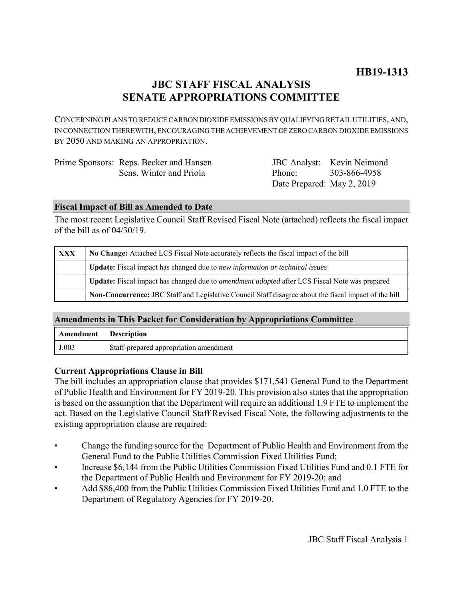# **JBC STAFF FISCAL ANALYSIS SENATE APPROPRIATIONS COMMITTEE**

CONCERNING PLANS TO REDUCE CARBON DIOXIDE EMISSIONS BY QUALIFYING RETAIL UTILITIES, AND, IN CONNECTION THEREWITH, ENCOURAGING THE ACHIEVEMENT OF ZERO CARBON DIOXIDE EMISSIONS BY 2050 AND MAKING AN APPROPRIATION.

| Prime Sponsors: Reps. Becker and Hansen |                            | JBC Analyst: Kevin Neimond |
|-----------------------------------------|----------------------------|----------------------------|
| Sens. Winter and Priola                 | Phone: 303-866-4958        |                            |
|                                         | Date Prepared: May 2, 2019 |                            |

### **Fiscal Impact of Bill as Amended to Date**

The most recent Legislative Council Staff Revised Fiscal Note (attached) reflects the fiscal impact of the bill as of 04/30/19.

| <b>XXX</b> | No Change: Attached LCS Fiscal Note accurately reflects the fiscal impact of the bill                 |  |
|------------|-------------------------------------------------------------------------------------------------------|--|
|            | Update: Fiscal impact has changed due to new information or technical issues                          |  |
|            | Update: Fiscal impact has changed due to <i>amendment adopted</i> after LCS Fiscal Note was prepared  |  |
|            | Non-Concurrence: JBC Staff and Legislative Council Staff disagree about the fiscal impact of the bill |  |

# **Amendments in This Packet for Consideration by Appropriations Committee**

| Amendment | <b>Description</b>                     |
|-----------|----------------------------------------|
| J.003     | Staff-prepared appropriation amendment |

### **Current Appropriations Clause in Bill**

The bill includes an appropriation clause that provides \$171,541 General Fund to the Department of Public Health and Environment for FY 2019-20. This provision also states that the appropriation is based on the assumption that the Department will require an additional 1.9 FTE to implement the act. Based on the Legislative Council Staff Revised Fiscal Note, the following adjustments to the existing appropriation clause are required:

- Change the funding source for the Department of Public Health and Environment from the General Fund to the Public Utilities Commission Fixed Utilities Fund;
- Increase \$6,144 from the Public Utilities Commission Fixed Utilities Fund and 0.1 FTE for the Department of Public Health and Environment for FY 2019-20; and
- Add \$86,400 from the Public Utilities Commission Fixed Utilities Fund and 1.0 FTE to the Department of Regulatory Agencies for FY 2019-20.